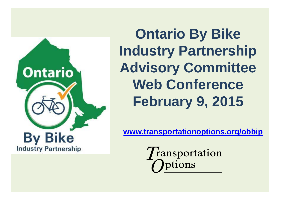

**Ontario By Bike Industry Partnership Advisory Committee Web Conference February 9, 2015**

**[www.transportationoptions.org/obbip](http://www.transportationoptions.org/obbip)**

Transportation ptions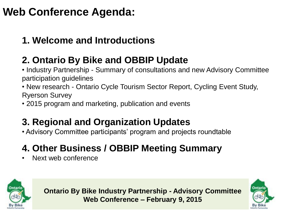## **Web Conference Agenda:**

## **1. Welcome and Introductions**

## **2. Ontario By Bike and OBBIP Update**

• Industry Partnership - Summary of consultations and new Advisory Committee participation guidelines

• New research - Ontario Cycle Tourism Sector Report, Cycling Event Study, Ryerson Survey

• 2015 program and marketing, publication and events

## **3. Regional and Organization Updates**

• Advisory Committee participants' program and projects roundtable

## **4. Other Business / OBBIP Meeting Summary**

• Next web conference



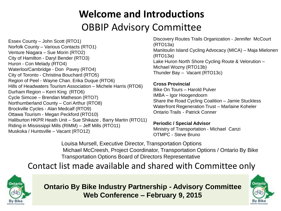## **Welcome and Introductions** OBBIP Advisory Committee

Essex County – John Scott (RTO1) Norfolk County – Various Contacts (RTO1) Venture Niagara – Sue Morin (RTO2) City of Hamilton - Daryl Bender (RTO3) Huron - Con Melady (RTO4) Waterloo/Cambridge - Don Pavey (RTO4) City of Toronto - Christina Bouchard (RTO5) Region of Peel - Wayne Chan, Erika Duque (RTO6) Hills of Headwaters Tourism Association – Michele Harris (RTO6) Durham Region – Kerri King (RTO6) Cycle Simcoe – Brendan Matheson (RTO7) Northumberland County – Cori Arthur (RTO8) Brockville Cycles - Alan Medcalf (RTO9) Ottawa Tourism - Megan Peckford (RTO10) Haliburton HKPR Heath Unit – Sue Shikaze , Barry Martin (RTO11) Riding in Mississippi Mills (RIMM) – Jeff Mills (RTO11) Muskoka / Huntsville – Vacant (RTO12)

Discovery Routes Trails Organization - Jennifer McCourt (RTO13a) Manitoulin Island Cycling Advocacy (MICA) – Maja Mielonen (RTO13a) Lake Huron North Shore Cycling Route & Velorution – Michael Wozny (RTO13b) Thunder Bay – Vacant (RTO13c)

**Cross Provincial** Bike On Tours – Harold Pulver IMBA – Igor Hoogendoorn Share the Road Cycling Coalition – Jamie Stuckless Waterfront Regeneration Trust – Marlaine Koheler Ontario Trails - Patrick Conner

**Periodic / Special Advisor** Ministry of Transportation - Michael Canzi OTMPC - Steve Bruno

Louisa Mursell, Executive Director, Transportation Options Michael McCreesh, Project Coordinator, Transportation Options / Ontario By Bike Transportation Options Board of Directors Representative

Contact list made available and shared with Committee only



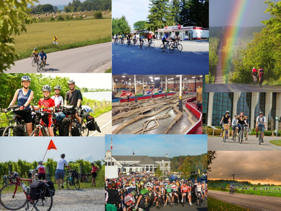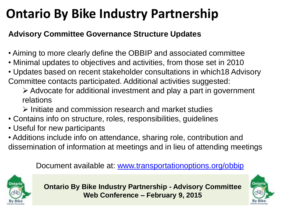# **Ontario By Bike Industry Partnership**

#### **Advisory Committee Governance Structure Updates**

- Aiming to more clearly define the OBBIP and associated committee
- Minimal updates to objectives and activities, from those set in 2010
- Updates based on recent stakeholder consultations in which18 Advisory Committee contacts participated. Additional activities suggested:
	- Advocate for additional investment and play a part in government relations
	- $\triangleright$  Initiate and commission research and market studies
- Contains info on structure, roles, responsibilities, guidelines
- Useful for new participants
- Additions include info on attendance, sharing role, contribution and dissemination of information at meetings and in lieu of attending meetings

#### Document available at: [www.transportationoptions.org/obbip](http://www.transportationoptions.org/obbip)



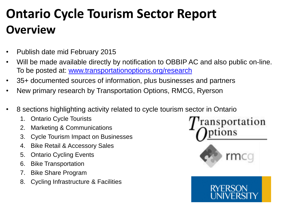# **Ontario Cycle Tourism Sector Report Overview**

- Publish date mid February 2015
- Will be made available directly by notification to OBBIP AC and also public on-line. To be posted at: [www.transportationoptions.org/research](http://www.transportationoptions.org/research)
- 35+ documented sources of information, plus businesses and partners
- New primary research by Transportation Options, RMCG, Ryerson
- 8 sections highlighting activity related to cycle tourism sector in Ontario
	- 1. Ontario Cycle Tourists
	- 2. Marketing & Communications
	- 3. Cycle Tourism Impact on Businesses
	- 4. Bike Retail & Accessory Sales
	- 5. Ontario Cycling Events
	- 6. Bike Transportation
	- 7. Bike Share Program
	- 8. Cycling Infrastructure & Facilities





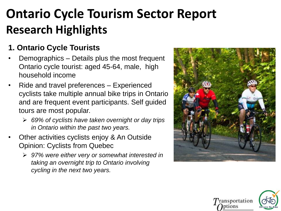#### **1. Ontario Cycle Tourists**

- Demographics Details plus the most frequent Ontario cycle tourist: aged 45-64, male, high household income
- Ride and travel preferences Experienced cyclists take multiple annual bike trips in Ontario and are frequent event participants. Self guided tours are most popular.
	- *69% of cyclists have taken overnight or day trips in Ontario within the past two years.*
- Other activities cyclists enjoy & An Outside Opinion: Cyclists from Quebec
	- *97% were either very or somewhat interested in taking an overnight trip to Ontario involving cycling in the next two years.*



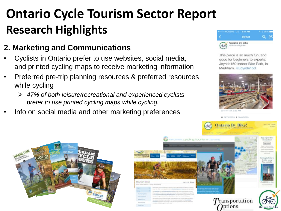### **2. Marketing and Communications**

- Cyclists in Ontario prefer to use websites, social media, and printed cycling maps to receive marketing information
- Preferred pre-trip planning resources & preferred resources while cycling
	- *47% of both leisure/recreational and experienced cyclists prefer to use printed cycling maps while cycling.*
- Info on social media and other marketing preferences



This place is so much fun, and good for beginners to experts. Jovride150 Indoor Bike Park, in Markham, @Joyride150



**11 RETWEETS 7 FAVORITES** 



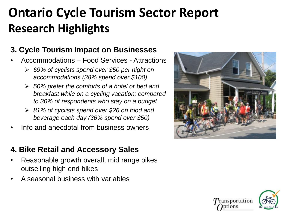### **3. Cycle Tourism Impact on Businesses**

- Accommodations Food Services Attractions
	- *69% of cyclists spend over \$50 per night on accommodations (38% spend over \$100)*
	- *50% prefer the comforts of a hotel or bed and breakfast while on a cycling vacation; compared to 30% of respondents who stay on a budget*
	- *81% of cyclists spend over \$26 on food and beverage each day (36% spend over \$50)*
- Info and anecdotal from business owners

### **4. Bike Retail and Accessory Sales**

- Reasonable growth overall, mid range bikes outselling high end bikes
- A seasonal business with variables



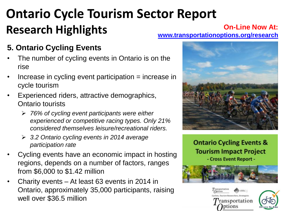# **Ontario Cycle Tourism Sector Report Research Highlights On-Line Now At:**

**[www.transportationoptions.org/research](http://www.transportationoptions.org/research)**

- **5. Ontario Cycling Events**
- The number of cycling events in Ontario is on the rise
- Increase in cycling event participation = increase in cycle tourism
- Experienced riders, attractive demographics, Ontario tourists
	- *76% of cycling event participants were either experienced or competitive racing types. Only 21% considered themselves leisure/recreational riders.*
	- *3.2 Ontario cycling events in 2014 average participation rate*
- Cycling events have an economic impact in hosting regions, depends on a number of factors, ranges from \$6,000 to \$1.42 million
- Charity events At least 63 events in 2014 in Ontario, approximately 35,000 participants, raising well over \$36.5 million



**Ontario Cycling Events & Tourism Impact Project** - Cross Event Report -



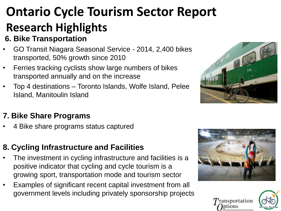# **6. Bike Transportation**

- GO Transit Niagara Seasonal Service 2014, 2,400 bikes transported, 50% growth since 2010
- Ferries tracking cyclists show large numbers of bikes transported annually and on the increase
- Top 4 destinations Toronto Islands, Wolfe Island, Pelee Island, Manitoulin Island



### **7. Bike Share Programs**

• 4 Bike share programs status captured

#### **8. Cycling Infrastructure and Facilities**

- The investment in cycling infrastructure and facilities is a positive indicator that cycling and cycle tourism is a growing sport, transportation mode and tourism sector
- Examples of significant recent capital investment from all government levels including privately sponsorship projects





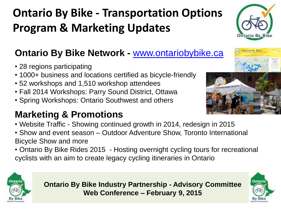# **Ontario By Bike - Transportation Options Program & Marketing Updates**

## **Ontario By Bike Network - [www.ontariobybike.ca](http://www.ontariobybike.ca/)**

- 28 regions participating
- 1000+ business and locations certified as bicycle-friendly
- 52 workshops and 1,510 workshop attendees
- Fall 2014 Workshops: Parry Sound District, Ottawa
- Spring Workshops: Ontario Southwest and others

## **Marketing & Promotions**

- Website Traffic Showing continued growth in 2014, redesign in 2015
- Show and event season Outdoor Adventure Show, Toronto International Bicycle Show and more
- Ontario By Bike Rides 2015 Hosting overnight cycling tours for recreational cyclists with an aim to create legacy cycling itineraries in Ontario



**Ontario By Bike Industry Partnership - Advisory Committee Web Conference – February 9, 2015**







**Intario By Bike**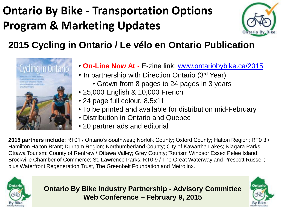## **Ontario By Bike - Transportation Options Program & Marketing Updates**



## **2015 Cycling in Ontario / Le vélo en Ontario Publication**



- **On-Line Now At -** E-zine link: [www.ontariobybike.ca/2015](http://www.ontariobybike.ca/2015)
- In partnership with Direction Ontario (3<sup>rd</sup> Year)
	- Grown from 8 pages to 24 pages in 3 years
- 25,000 English & 10,000 French
- 24 page full colour, 8.5x11
- To be printed and available for distribution mid-February
- Distribution in Ontario and Quebec
- 20 partner ads and editorial

**2015 partners include**: RT01 / Ontario's Southwest; Norfolk County; Oxford County; Halton Region; RT0 3 / Hamilton Halton Brant; Durham Region; Northumberland County; City of Kawartha Lakes; Niagara Parks; Ottawa Tourism; County of Renfrew / Ottawa Valley; Grey County; Tourism Windsor Essex Pelee Island; Brockville Chamber of Commerce; St. Lawrence Parks, RT0 9 / The Great Waterway and Prescott Russell; plus Waterfront Regeneration Trust, The Greenbelt Foundation and Metrolinx.



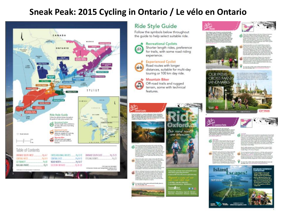#### Sneak Peak: 2015 Cycling in Ontario / Le vélo en Ontario



#### **Ride Style Guide**

Follow the symbols below throughout the quide to help select suitable ride.

#### **Recreational Cyclists**

Shorter length rides, preference for trails, with some road riding experience.

#### **Experienced Cyclist**

Road routes with longer distances, suitable for multi-dav touring or 100 km day ride.

#### **Mountain Biker**

Off-road trails and rugged terrain, some with technical features.























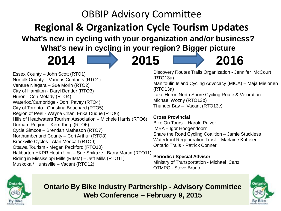### OBBIP Advisory Committee **Regional & Organization Cycle Tourism Updates**

**What's new in cycling with your organization and/or business? What's new in cycling in your region? Bigger picture**





Essex County – John Scott (RTO1) Norfolk County – Various Contacts (RTO1) Venture Niagara – Sue Morin (RTO2) City of Hamilton - Daryl Bender (RTO3) Huron - Con Melady (RTO4) Waterloo/Cambridge - Don Pavey (RTO4) City of Toronto - Christina Bouchard (RTO5) Region of Peel - Wayne Chan, Erika Duque (RTO6) Hills of Headwaters Tourism Association – Michele Harris (RTO6) Durham Region – Kerri King (RTO6) Cycle Simcoe – Brendan Matheson (RTO7) Northumberland County – Cori Arthur (RTO8) Brockville Cycles - Alan Medcalf (RTO9) Ottawa Tourism - Megan Peckford (RTO10) Haliburton HKPR Heath Unit – Sue Shikaze , Barry Martin (RTO11) Riding in Mississippi Mills (RIMM) – Jeff Mills (RTO11) Muskoka / Huntsville – Vacant (RTO12)

Discovery Routes Trails Organization - Jennifer McCourt (RTO13a) Manitoulin Island Cycling Advocacy (MICA) – Maja Mielonen (RTO13a) Lake Huron North Shore Cycling Route & Velorution – Michael Wozny (RTO13b) Thunder Bay – Vacant (RTO13c)

**Cross Provincial** Bike On Tours – Harold Pulver IMBA – Igor Hoogendoorn Share the Road Cycling Coalition – Jamie Stuckless Waterfront Regeneration Trust – Marlaine Koheler Ontario Trails - Patrick Conner

#### **Periodic / Special Advisor**

Ministry of Transportation - Michael Canzi OTMPC - Steve Bruno



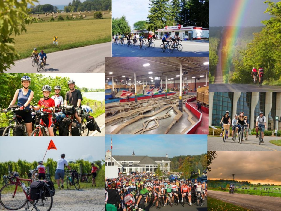